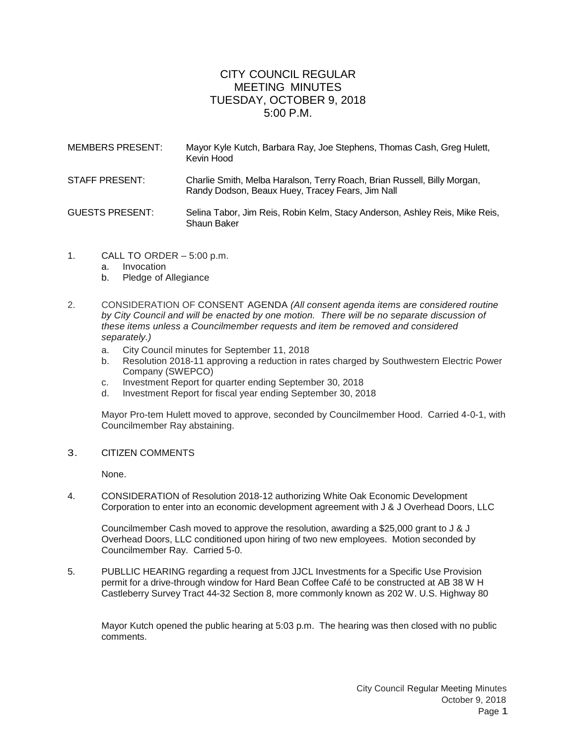## CITY COUNCIL REGULAR MEETING MINUTES TUESDAY, OCTOBER 9, 2018  $5:00 \text{ P M}$

| <b>MEMBERS PRESENT:</b> | Mayor Kyle Kutch, Barbara Ray, Joe Stephens, Thomas Cash, Greg Hulett,<br>Kevin Hood                                         |
|-------------------------|------------------------------------------------------------------------------------------------------------------------------|
| STAFF PRESENT:          | Charlie Smith, Melba Haralson, Terry Roach, Brian Russell, Billy Morgan,<br>Randy Dodson, Beaux Huey, Tracey Fears, Jim Nall |
| <b>GUESTS PRESENT:</b>  | Selina Tabor, Jim Reis, Robin Kelm, Stacy Anderson, Ashley Reis, Mike Reis,<br>Shaun Baker                                   |

- 1. CALL TO ORDER 5:00 p.m.
	- a. Invocation
	- b. Pledge of Allegiance
- 2. CONSIDERATION OF CONSENT AGENDA *(All consent agenda items are considered routine by City Council and will be enacted by one motion. There will be no separate discussion of these items unless a Councilmember requests and item be removed and considered separately.)*
	- a. City Council minutes for September 11, 2018
	- b. Resolution 2018-11 approving a reduction in rates charged by Southwestern Electric Power Company (SWEPCO)
	- c. Investment Report for quarter ending September 30, 2018
	- Investment Report for fiscal year ending September 30, 2018

Mayor Pro-tem Hulett moved to approve, seconded by Councilmember Hood. Carried 4-0-1, with Councilmember Ray abstaining.

3. CITIZEN COMMENTS

None.

4. CONSIDERATION of Resolution 2018-12 authorizing White Oak Economic Development Corporation to enter into an economic development agreement with J & J Overhead Doors, LLC

Councilmember Cash moved to approve the resolution, awarding a \$25,000 grant to J & J Overhead Doors, LLC conditioned upon hiring of two new employees. Motion seconded by Councilmember Ray. Carried 5-0.

5. PUBLLIC HEARING regarding a request from JJCL Investments for a Specific Use Provision permit for a drive-through window for Hard Bean Coffee Café to be constructed at AB 38 W H Castleberry Survey Tract 44-32 Section 8, more commonly known as 202 W. U.S. Highway 80

Mayor Kutch opened the public hearing at 5:03 p.m. The hearing was then closed with no public comments.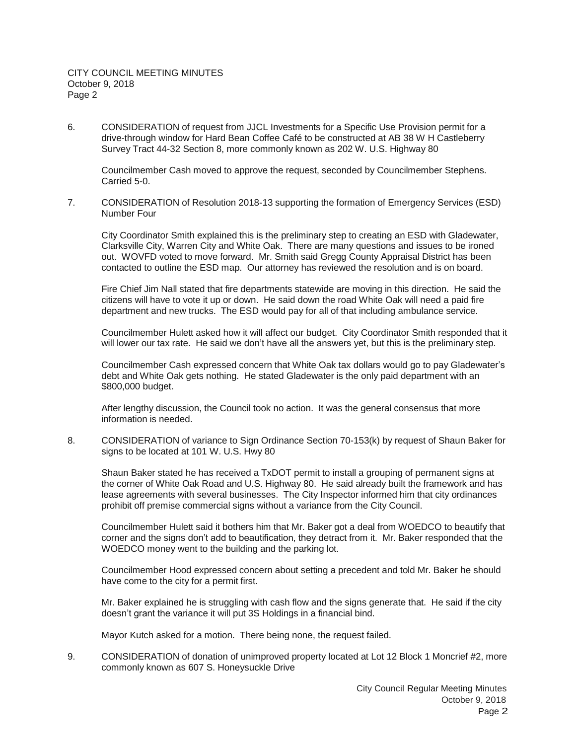6. CONSIDERATION of request from JJCL Investments for a Specific Use Provision permit for a drive-through window for Hard Bean Coffee Café to be constructed at AB 38 W H Castleberry Survey Tract 44-32 Section 8, more commonly known as 202 W. U.S. Highway 80

Councilmember Cash moved to approve the request, seconded by Councilmember Stephens. Carried 5-0.

7. CONSIDERATION of Resolution 2018-13 supporting the formation of Emergency Services (ESD) Number Four

City Coordinator Smith explained this is the preliminary step to creating an ESD with Gladewater, Clarksville City, Warren City and White Oak. There are many questions and issues to be ironed out. WOVFD voted to move forward. Mr. Smith said Gregg County Appraisal District has been contacted to outline the ESD map. Our attorney has reviewed the resolution and is on board.

Fire Chief Jim Nall stated that fire departments statewide are moving in this direction. He said the citizens will have to vote it up or down. He said down the road White Oak will need a paid fire department and new trucks. The ESD would pay for all of that including ambulance service.

Councilmember Hulett asked how it will affect our budget. City Coordinator Smith responded that it will lower our tax rate. He said we don't have all the answers yet, but this is the preliminary step.

Councilmember Cash expressed concern that White Oak tax dollars would go to pay Gladewater's debt and White Oak gets nothing. He stated Gladewater is the only paid department with an \$800,000 budget.

After lengthy discussion, the Council took no action. It was the general consensus that more information is needed.

8. CONSIDERATION of variance to Sign Ordinance Section 70-153(k) by request of Shaun Baker for signs to be located at 101 W. U.S. Hwy 80

Shaun Baker stated he has received a TxDOT permit to install a grouping of permanent signs at the corner of White Oak Road and U.S. Highway 80. He said already built the framework and has lease agreements with several businesses. The City Inspector informed him that city ordinances prohibit off premise commercial signs without a variance from the City Council.

Councilmember Hulett said it bothers him that Mr. Baker got a deal from WOEDCO to beautify that corner and the signs don't add to beautification, they detract from it. Mr. Baker responded that the WOEDCO money went to the building and the parking lot.

Councilmember Hood expressed concern about setting a precedent and told Mr. Baker he should have come to the city for a permit first.

Mr. Baker explained he is struggling with cash flow and the signs generate that. He said if the city doesn't grant the variance it will put 3S Holdings in a financial bind.

Mayor Kutch asked for a motion. There being none, the request failed.

9. CONSIDERATION of donation of unimproved property located at Lot 12 Block 1 Moncrief #2, more commonly known as 607 S. Honeysuckle Drive